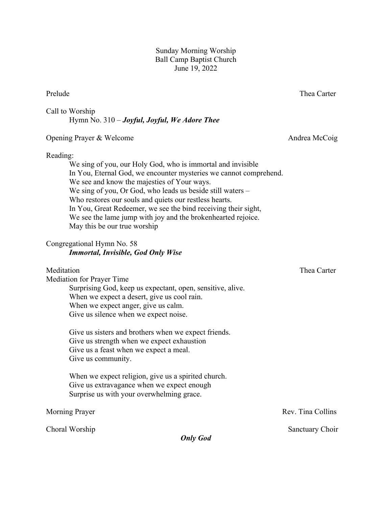Sunday Morning Worship Ball Camp Baptist Church June 19, 2022

### Prelude Thea Carter

Call to Worship Hymn No. 310 – *Joyful, Joyful, We Adore Thee*

# Opening Prayer & Welcome Andrea McCoig

#### Reading:

We sing of you, our Holy God, who is immortal and invisible In You, Eternal God, we encounter mysteries we cannot comprehend. We see and know the majesties of Your ways. We sing of you, Or God, who leads us beside still waters – Who restores our souls and quiets our restless hearts. In You, Great Redeemer, we see the bind receiving their sight, We see the lame jump with joy and the brokenhearted rejoice. May this be our true worship

## Congregational Hymn No. 58 *Immortal, Invisible, God Only Wise*

#### Meditation **Thea** Carter

Mediation for Prayer Time Surprising God, keep us expectant, open, sensitive, alive. When we expect a desert, give us cool rain. When we expect anger, give us calm. Give us silence when we expect noise.

> Give us sisters and brothers when we expect friends. Give us strength when we expect exhaustion Give us a feast when we expect a meal. Give us community.

When we expect religion, give us a spirited church. Give us extravagance when we expect enough Surprise us with your overwhelming grace.

Choral Worship Sanctuary Choir

*Only God*

Morning Prayer Rev. Tina Collins